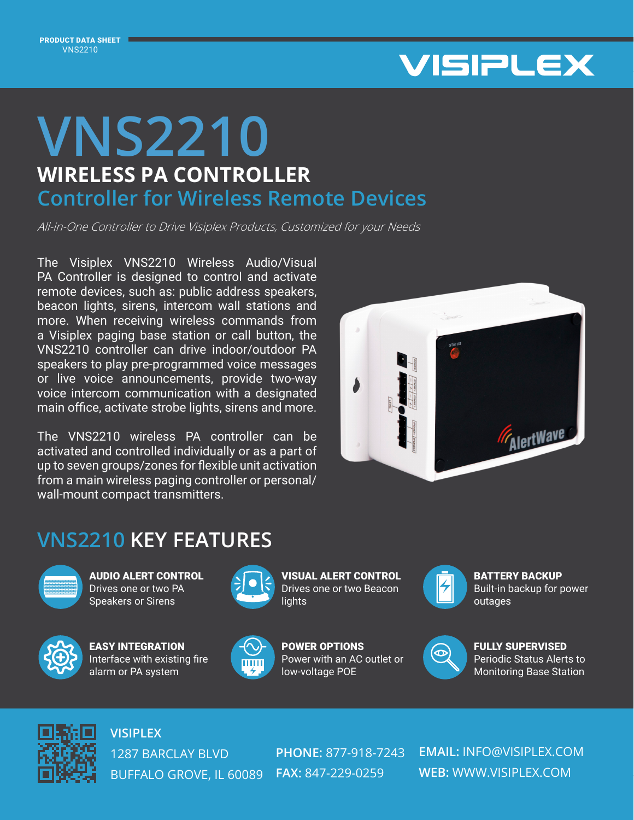

## **WIRELESS PA CONTROLLER VNS2210 Controller for Wireless Remote Devices**

All-in-One Controller to Drive Visiplex Products, Customized for your Needs

The Visiplex VNS2210 Wireless Audio/Visual PA Controller is designed to control and activate remote devices, such as: public address speakers, beacon lights, sirens, intercom wall stations and more. When receiving wireless commands from a Visiplex paging base station or call button, the VNS2210 controller can drive indoor/outdoor PA speakers to play pre-programmed voice messages or live voice announcements, provide two-way voice intercom communication with a designated main office, activate strobe lights, sirens and more.

The VNS2210 wireless PA controller can be activated and controlled individually or as a part of up to seven groups/zones for flexible unit activation from a main wireless paging controller or personal/ wall-mount compact transmitters.



## **VNS2210 KEY FEATURES**



AUDIO ALERT CONTROL Drives one or two PA Speakers or Sirens



EASY INTEGRATION Interface with existing fire alarm or PA system



VISUAL ALERT CONTROL Drives one or two Beacon **lights** 



POWER OPTIONS Power with an AC outlet or low-voltage POE



BATTERY BACKUP Built-in backup for power outages



FULLY SUPERVISED Periodic Status Alerts to Monitoring Base Station



**VISIPLEX** 1287 BARCLAY BLVD BUFFALO GROVE, IL 60089 **FAX:** 847-229-0259

**PHONE:** 877-918-7243

**EMAIL:** INFO@VISIPLEX.COM **WEB:** WWW.VISIPLEX.COM